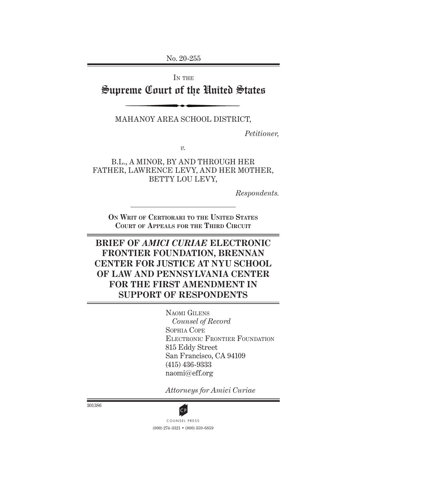No. 20-255

IN THE

# Supreme Court of the United States

MAHANOY AREA SCHOOL DISTRICT,

*Petitioner,*

*v.*

B.L., A MINOR, BY and through HER FATHER, LAWRENCE LEVY, AND HER MOTHER, BETTY LOU LEVY,

*Respondents.*

**On Writ of Certiorari to the United States Court of Appeals for the Third Circuit**

# **BRIEF OF** *AMICI CURIAE* **ELECTRONIC FRONTIER FOUNDATION, BRENNAN CENTER FOR JUSTICE AT NYU SCHOOL OF LAW AND PENNSYLVANIA CENTER FOR THE FIRST AMENDMENT IN SUPPORT OF RESPONDENTS**

Naomi Gilens *Counsel of Record* Sophia Cope Electronic Frontier Foundation 815 Eddy Street San Francisco, CA 94109 (415) 436-9333 naomi@eff.org

*Attorneys for Amici Curiae*

301386



(800) 274-3321 • (800) 359-6859 **CP**<br>COUNSEL PRESS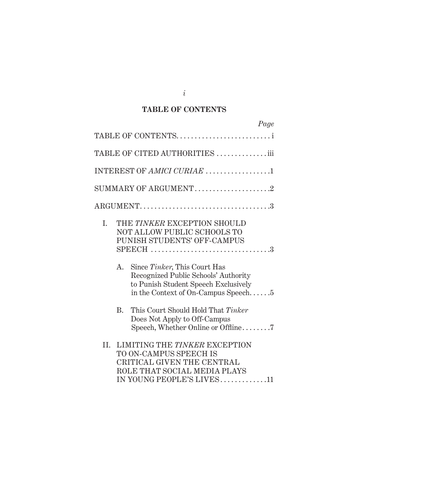## **TABLE OF CONTENTS**

| Page                                                                                                                                                         |
|--------------------------------------------------------------------------------------------------------------------------------------------------------------|
| TABLE OF CONTENTS                                                                                                                                            |
| TABLE OF CITED AUTHORITIES iii                                                                                                                               |
| INTEREST OF AMICI CURIAE 1                                                                                                                                   |
| SUMMARY OF ARGUMENT2                                                                                                                                         |
|                                                                                                                                                              |
| THE TINKER EXCEPTION SHOULD<br>I.<br>NOT ALLOW PUBLIC SCHOOLS TO<br>PUNISH STUDENTS' OFF-CAMPUS<br>$SPEECH$ 3                                                |
| Since Tinker, This Court Has<br>A.<br>Recognized Public Schools' Authority<br>to Punish Student Speech Exclusively<br>in the Context of On-Campus Speech $5$ |
| This Court Should Hold That Tinker<br><b>B.</b><br>Does Not Apply to Off-Campus<br>Speech, Whether Online or Offline7                                        |
| II.<br>LIMITING THE TINKER EXCEPTION<br>TO ON-CAMPUS SPEECH IS<br>CRITICAL GIVEN THE CENTRAL<br>ROLE THAT SOCIAL MEDIA PLAYS<br>IN YOUNG PEOPLE'S LIVES11    |

*i*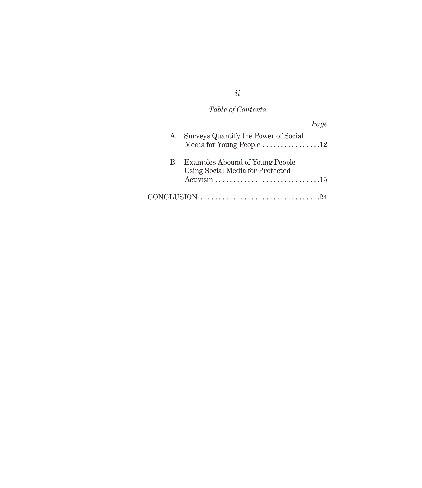# *Table of Contents*

|    | Page                                                                                 |
|----|--------------------------------------------------------------------------------------|
| А. | Surveys Quantify the Power of Social                                                 |
|    | Media for Young People 12                                                            |
| В. | <b>Examples Abound of Young People</b>                                               |
|    | Using Social Media for Protected                                                     |
|    |                                                                                      |
|    | $CONCLUSION \dots \dots \dots \dots \dots \dots \dots \dots \dots \dots \dots \dots$ |

*ii*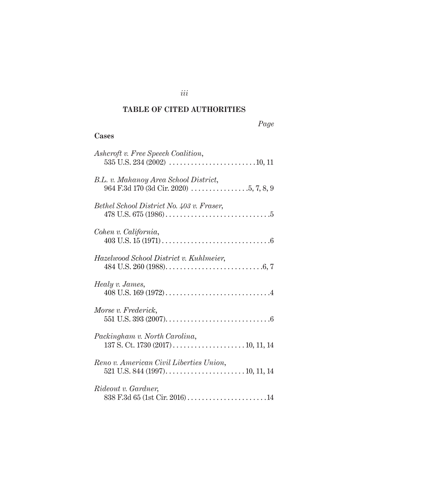# **TABLE OF CITED AUTHORITIES**

## **Cases**

| Ashcroft v. Free Speech Coalition,                                                                                                      |
|-----------------------------------------------------------------------------------------------------------------------------------------|
| B.L. v. Mahanoy Area School District,                                                                                                   |
| Bethel School District No. 403 v. Fraser,                                                                                               |
| Cohen v. California,                                                                                                                    |
| Hazelwood School District v. Kuhlmeier,                                                                                                 |
| Healy v. James,                                                                                                                         |
| Morse v. Frederick,                                                                                                                     |
| Packingham v. North Carolina,                                                                                                           |
| Reno v. American Civil Liberties Union,<br>521 U.S. 844 (1997). $\dots$ . $\dots$ . $\dots$ . $\dots$ . $10, 11, 14$                    |
| <i>Rideout v. Gardner,</i><br>$838 \text{ F.}3d \text{ }65 \text{ (1st Cir. }2016) \ldots \ldots \ldots \ldots \ldots \ldots \ldots 14$ |

*iii*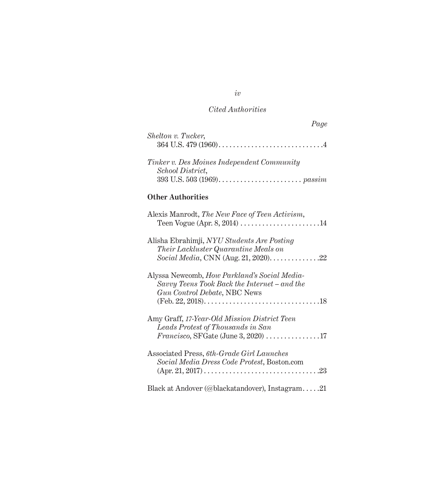| Page                                                                                                                                                         |  |
|--------------------------------------------------------------------------------------------------------------------------------------------------------------|--|
| Shelton v. Tucker,                                                                                                                                           |  |
| Tinker v. Des Moines Independent Community<br>School District,                                                                                               |  |
| <b>Other Authorities</b>                                                                                                                                     |  |
| Alexis Manrodt, The New Face of Teen Activism,                                                                                                               |  |
| Alisha Ebrahimji, NYU Students Are Posting<br><i>Their Lackluster Quarantine Meals on</i><br>Social Media, CNN (Aug. 21, 2020). $\dots \dots \dots \dots 22$ |  |
| Alyssa Newcomb, <i>How Parkland's Social Media-</i><br>Savvy Teens Took Back the Internet - and the<br>Gun Control Debate, NBC News                          |  |
| Amy Graff, 17-Year-Old Mission District Teen<br>Leads Protest of Thousands in San<br>$Francisco, SFGate (June 3, 2020) … … … … 17$                           |  |

| Associated Press, 6th-Grade Girl Launches   |  |
|---------------------------------------------|--|
| Social Media Dress Code Protest, Boston.com |  |
|                                             |  |
|                                             |  |

Black at Andover (@blackatandover), Instagram . . . . .21

*iv*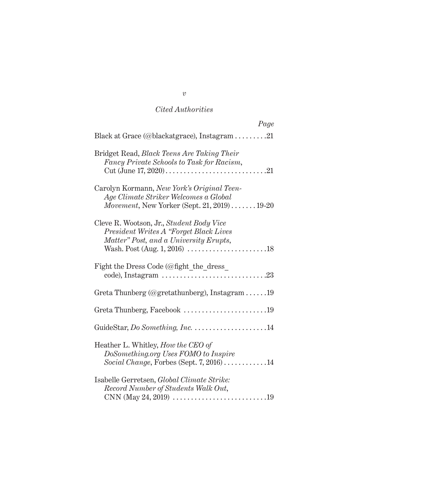| Page                                                                                                                                |
|-------------------------------------------------------------------------------------------------------------------------------------|
| Black at Grace (@blackatgrace), Instagram 21                                                                                        |
| Bridget Read, <i>Black Teens Are Taking Their</i><br>Fancy Private Schools to Task for Racism,                                      |
| Carolyn Kormann, New York's Original Teen-<br>Age Climate Striker Welcomes a Global<br>Movement, New Yorker (Sept. 21, 2019)  19-20 |
| Cleve R. Wootson, Jr., Student Body Vice<br>President Writes A "Forget Black Lives<br>Matter" Post, and a University Erupts,        |
| Fight the Dress Code ( $@$ fight the dress                                                                                          |
| Greta Thunberg (@gretathunberg), Instagram 19                                                                                       |
| Greta Thunberg, Facebook 19                                                                                                         |
|                                                                                                                                     |
| Heather L. Whitley, How the CEO of<br>DoSomething.org Uses FOMO to Inspire<br>Social Change, Forbes (Sept. 7, 2016)14               |
| Isabelle Gerretsen, Global Climate Strike:<br>Record Number of Students Walk Out,                                                   |

*v*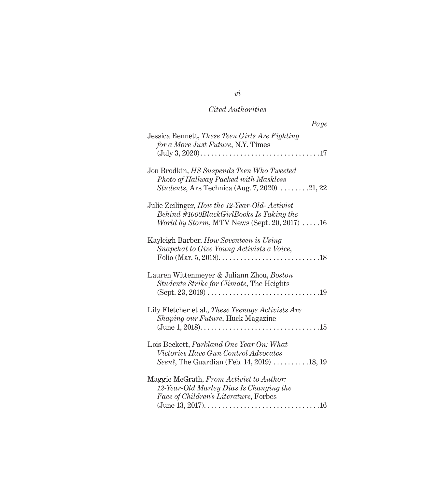| Page                                                                                                                                                                |
|---------------------------------------------------------------------------------------------------------------------------------------------------------------------|
| Jessica Bennett, These Teen Girls Are Fighting<br>for a More Just Future, N.Y. Times<br>$\ldots$ 17<br>$(\text{July } 3, 2020) \dots \dots \dots \dots \dots \dots$ |
| Jon Brodkin, HS Suspends Teen Who Tweeted<br>Photo of Hallway Packed with Maskless<br><i>Students</i> , Ars Technica (Aug. 7, 2020) 21, 22                          |
| Julie Zeilinger, How the 12-Year-Old-Activist<br>Behind #1000BlackGirlBooks Is Taking the<br><i>World by Storm, MTV News (Sept. 20, 2017)</i> $\dots$ 16            |
| Kayleigh Barber, How Seventeen is Using<br>Snapchat to Give Young Activists a Voice,                                                                                |
| Lauren Wittenmeyer & Juliann Zhou, Boston<br>Students Strike for Climate, The Heights<br>$(Sept. 23, 2019)$<br>.19                                                  |
| Lily Fletcher et al., These Teenage Activists Are<br><i>Shaping our Future</i> , Huck Magazine                                                                      |
| Lois Beckett, Parkland One Year On: What<br>Victories Have Gun Control Advocates<br>Seen?, The Guardian (Feb. 14, 2019) 18, 19                                      |
| Maggie McGrath, From Activist to Author:<br>12-Year-Old Marley Dias Is Changing the<br>Face of Children's Literature, Forbes<br>$\ldots 16$                         |

*vi*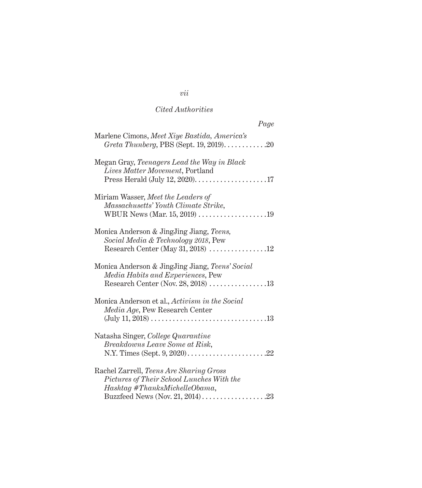| Page                                                                                                                          |
|-------------------------------------------------------------------------------------------------------------------------------|
| Marlene Cimons, Meet Xiye Bastida, America's<br>Greta Thunberg, PBS (Sept. 19, 2019)20                                        |
| Megan Gray, Teenagers Lead the Way in Black<br>Lives Matter Movement, Portland                                                |
| Miriam Wasser, Meet the Leaders of<br>Massachusetts' Youth Climate Strike,                                                    |
| Monica Anderson & JingJing Jiang, Teens,<br>Social Media & Technology 2018, Pew<br>Research Center (May 31, 2018) $\ldots$ 12 |
| Monica Anderson & JingJing Jiang, Teens' Social<br>Media Habits and Experiences, Pew<br>Research Center (Nov. 28, 2018) 13    |
| Monica Anderson et al., Activism in the Social<br>Media Age, Pew Research Center<br>$(July 11, 2018) 13$                      |
| Natasha Singer, College Quarantine<br>Breakdowns Leave Some at Risk,                                                          |
| Rachel Zarrell, Teens Are Sharing Gross<br>Pictures of Their School Lunches With the<br>Hashtag #ThanksMichelleObama,         |

# *vii*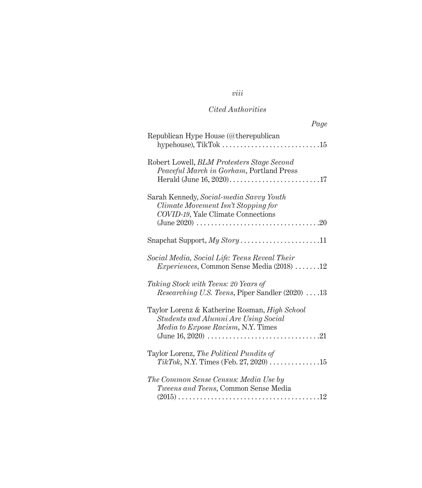# *viii*

# *Cited Authorities*

| Page                                                                                                                        |
|-----------------------------------------------------------------------------------------------------------------------------|
| Republican Hype House (@therepublican                                                                                       |
| Robert Lowell, BLM Protesters Stage Second<br>Peaceful March in Gorham, Portland Press                                      |
| Sarah Kennedy, Social-media Savvy Youth<br>Climate Movement Isn't Stopping for<br>COVID-19, Yale Climate Connections        |
|                                                                                                                             |
| Social Media, Social Life: Teens Reveal Their<br><i>Experiences</i> , Common Sense Media $(2018)$ 12                        |
| Taking Stock with Teens: 20 Years of<br><i>Researching U.S. Teens, Piper Sandler (2020)</i> 13                              |
| Taylor Lorenz & Katherine Rosman, High School<br>Students and Alumni Are Using Social<br>Media to Expose Racism, N.Y. Times |
| Taylor Lorenz, The Political Pundits of<br><i>TikTok</i> , N.Y. Times (Feb. 27, 2020) 15                                    |
| The Common Sense Census: Media Use by<br>Tweens and Teens, Common Sense Media                                               |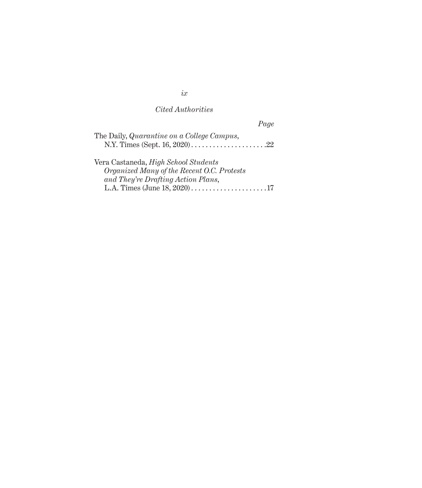| Page                                        |
|---------------------------------------------|
| The Daily, Quarantine on a College Campus,  |
|                                             |
| Vera Castaneda, <i>High School Students</i> |
| Organized Many of the Recent O.C. Protests  |
| and They're Drafting Action Plans,          |
|                                             |

*ix*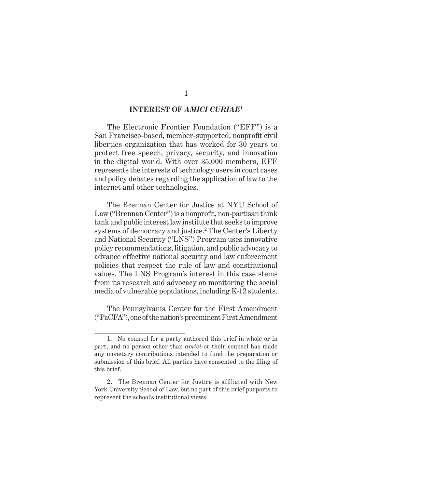#### **INTEREST OF** *AMICI CURIAE***<sup>1</sup>**

The Electronic Frontier Foundation ("EFF") is a San Francisco-based, member-supported, nonprofit civil liberties organization that has worked for 30 years to protect free speech, privacy, security, and innovation in the digital world. With over 35,000 members, EFF represents the interests of technology users in court cases and policy debates regarding the application of law to the internet and other technologies.

The Brennan Center for Justice at NYU School of Law ("Brennan Center") is a nonprofit, non-partisan think tank and public interest law institute that seeks to improve systems of democracy and justice.2 The Center's Liberty and National Security ("LNS") Program uses innovative policy recommendations, litigation, and public advocacy to advance effective national security and law enforcement policies that respect the rule of law and constitutional values. The LNS Program's interest in this case stems from its research and advocacy on monitoring the social media of vulnerable populations, including K-12 students.

The Pennsylvania Center for the First Amendment ("PaCFA"), one of the nation's preeminent First Amendment

<sup>1.</sup> No counsel for a party authored this brief in whole or in part, and no person other than *amici* or their counsel has made any monetary contributions intended to fund the preparation or submission of this brief. All parties have consented to the filing of this brief.

<sup>2.</sup> The Brennan Center for Justice is affiliated with New York University School of Law, but no part of this brief purports to represent the school's institutional views.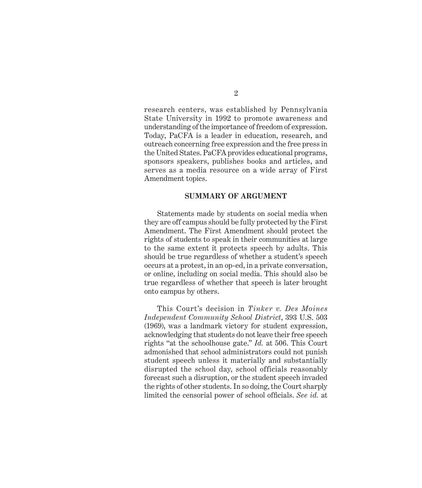research centers, was established by Pennsylvania State University in 1992 to promote awareness and understanding of the importance of freedom of expression. Today, PaCFA is a leader in education, research, and outreach concerning free expression and the free press in the United States. PaCFA provides educational programs, sponsors speakers, publishes books and articles, and serves as a media resource on a wide array of First Amendment topics.

#### **SUMMARY OF ARGUMENT**

Statements made by students on social media when they are off campus should be fully protected by the First Amendment. The First Amendment should protect the rights of students to speak in their communities at large to the same extent it protects speech by adults. This should be true regardless of whether a student's speech occurs at a protest, in an op-ed, in a private conversation, or online, including on social media. This should also be true regardless of whether that speech is later brought onto campus by others.

This Court's decision in *Tinker v. Des Moines Independent Community School District*, 393 U.S. 503 (1969), was a landmark victory for student expression, acknowledging that students do not leave their free speech rights "at the schoolhouse gate." *Id.* at 506. This Court admonished that school administrators could not punish student speech unless it materially and substantially disrupted the school day, school officials reasonably forecast such a disruption, or the student speech invaded the rights of other students. In so doing, the Court sharply limited the censorial power of school officials. *See id.* at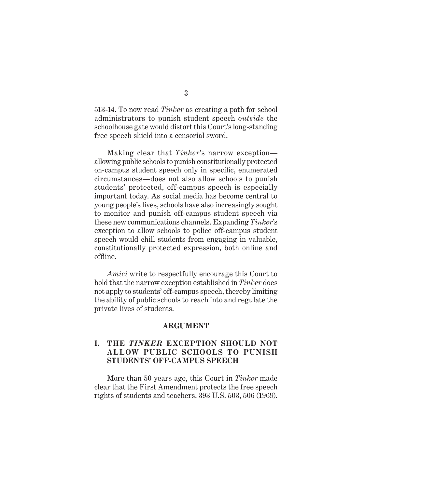513-14. To now read *Tinker* as creating a path for school administrators to punish student speech *outside* the schoolhouse gate would distort this Court's long-standing free speech shield into a censorial sword.

Making clear that *Tinker*'s narrow exception allowing public schools to punish constitutionally protected on-campus student speech only in specific, enumerated circumstances—does not also allow schools to punish students' protected, off-campus speech is especially important today. As social media has become central to young people's lives, schools have also increasingly sought to monitor and punish off-campus student speech via these new communications channels. Expanding *Tinker*'s exception to allow schools to police off-campus student speech would chill students from engaging in valuable, constitutionally protected expression, both online and offline.

*Amici* write to respectfully encourage this Court to hold that the narrow exception established in *Tinker* does not apply to students' off-campus speech, thereby limiting the ability of public schools to reach into and regulate the private lives of students.

#### **ARGUMENT**

### **I. THE** *TINKER* **EXCEPTION SHOULD NOT A LLOW PUBLIC SCHOOLS TO PUNISH STUDENTS' OFF-CAMPUS SPEECH**

More than 50 years ago, this Court in *Tinker* made clear that the First Amendment protects the free speech rights of students and teachers. 393 U.S. 503, 506 (1969).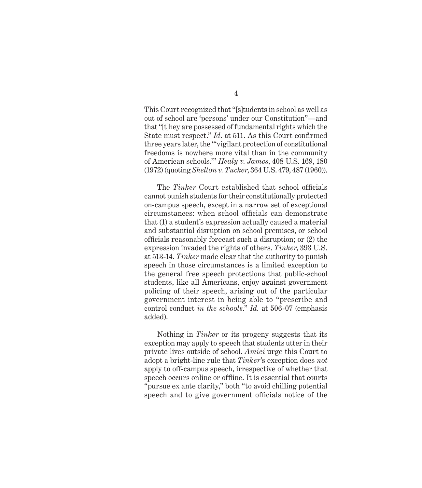This Court recognized that "[s]tudents in school as well as out of school are 'persons' under our Constitution"—and that "[t]hey are possessed of fundamental rights which the State must respect." *Id*. at 511. As this Court confirmed three years later, the "'vigilant protection of constitutional freedoms is nowhere more vital than in the community of American schools.'" *Healy v. James*, 408 U.S. 169, 180 (1972) (quoting *Shelton v. Tucker*, 364 U.S. 479, 487 (1960)).

The *Tinker* Court established that school officials cannot punish students for their constitutionally protected on-campus speech, except in a narrow set of exceptional circumstances: when school officials can demonstrate that (1) a student's expression actually caused a material and substantial disruption on school premises, or school officials reasonably forecast such a disruption; or (2) the expression invaded the rights of others. *Tinker*, 393 U.S. at 513-14. *Tinker* made clear that the authority to punish speech in those circumstances is a limited exception to the general free speech protections that public-school students, like all Americans, enjoy against government policing of their speech, arising out of the particular government interest in being able to "prescribe and control conduct *in the schools*." *Id.* at 506-07 (emphasis added).

Nothing in *Tinker* or its progeny suggests that its exception may apply to speech that students utter in their private lives outside of school. *Amici* urge this Court to adopt a bright-line rule that *Tinker*'s exception does *not*  apply to off-campus speech, irrespective of whether that speech occurs online or offline. It is essential that courts "pursue ex ante clarity," both "to avoid chilling potential speech and to give government officials notice of the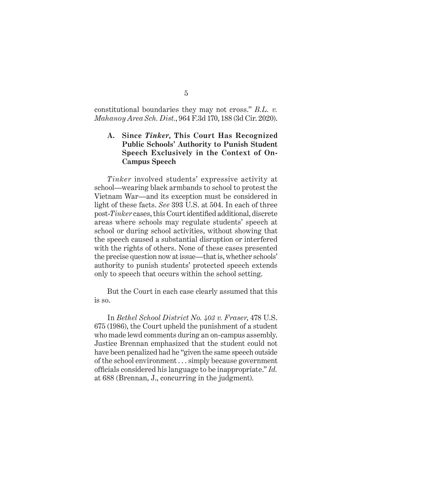constitutional boundaries they may not cross." *B.L. v. Mahanoy Area Sch. Dist.*, 964 F.3d 170, 188 (3d Cir. 2020).

### **A. Since** *Tinker***, This Court Has Recognized Public Schools' Authority to Punish Student Speech Exclusively in the Context of On-Campus Speech**

*Tinker* involved students' expressive activity at school—wearing black armbands to school to protest the Vietnam War—and its exception must be considered in light of these facts. *See* 393 U.S. at 504. In each of three post-*Tinker* cases, this Court identified additional, discrete areas where schools may regulate students' speech at school or during school activities, without showing that the speech caused a substantial disruption or interfered with the rights of others. None of these cases presented the precise question now at issue—that is, whether schools' authority to punish students' protected speech extends only to speech that occurs within the school setting.

But the Court in each case clearly assumed that this is so.

In *Bethel School District No. 403 v. Fraser*, 478 U.S. 675 (1986), the Court upheld the punishment of a student who made lewd comments during an on-campus assembly. Justice Brennan emphasized that the student could not have been penalized had he "given the same speech outside of the school environment . . . simply because government officials considered his language to be inappropriate." *Id.* at 688 (Brennan, J., concurring in the judgment).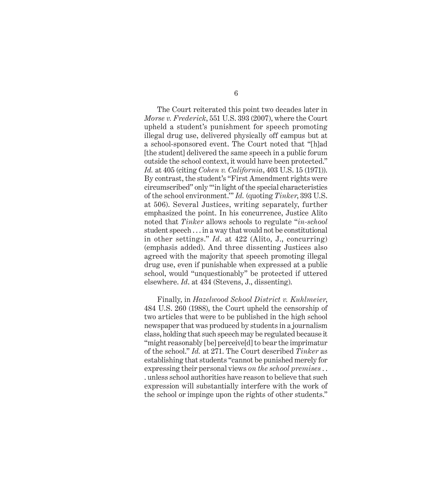The Court reiterated this point two decades later in *Morse v. Frederick*, 551 U.S. 393 (2007), where the Court upheld a student's punishment for speech promoting illegal drug use, delivered physically off campus but at a school-sponsored event. The Court noted that "[h]ad [the student] delivered the same speech in a public forum outside the school context, it would have been protected." *Id.* at 405 (citing *Cohen v. California*, 403 U.S. 15 (1971)). By contrast, the student's "First Amendment rights were circumscribed" only "'in light of the special characteristics of the school environment.'" *Id.* (quoting *Tinker*, 393 U.S. at 506). Several Justices, writing separately, further emphasized the point. In his concurrence, Justice Alito noted that *Tinker* allows schools to regulate "*in-school* student speech . . . in a way that would not be constitutional in other settings." *Id*. at 422 (Alito, J., concurring) (emphasis added). And three dissenting Justices also agreed with the majority that speech promoting illegal drug use, even if punishable when expressed at a public school, would "unquestionably" be protected if uttered elsewhere. *Id*. at 434 (Stevens, J., dissenting).

Finally, in *Hazelwood School District v. Kuhlmeier*, 484 U.S. 260 (1988), the Court upheld the censorship of two articles that were to be published in the high school newspaper that was produced by students in a journalism class, holding that such speech may be regulated because it "might reasonably [be] perceive[d] to bear the imprimatur of the school." *Id.* at 271. The Court described *Tinker* as establishing that students "cannot be punished merely for expressing their personal views *on the school premises* . . . unless school authorities have reason to believe that such expression will substantially interfere with the work of the school or impinge upon the rights of other students."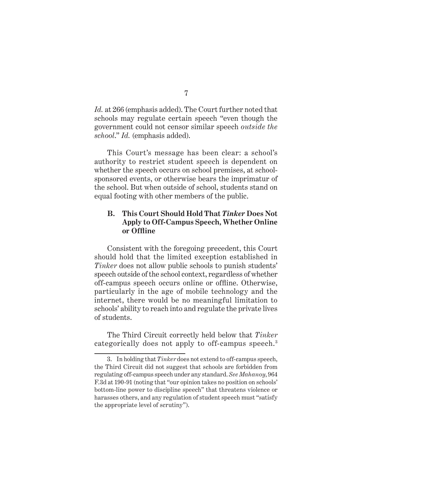*Id.* at 266 (emphasis added). The Court further noted that schools may regulate certain speech "even though the government could not censor similar speech *outside the school*." *Id.* (emphasis added).

This Court's message has been clear: a school's authority to restrict student speech is dependent on whether the speech occurs on school premises, at schoolsponsored events, or otherwise bears the imprimatur of the school. But when outside of school, students stand on equal footing with other members of the public.

#### **B. This Court Should Hold That** *Tinker* **Does Not Apply to Off-Campus Speech, Whether Online or Offline**

Consistent with the foregoing precedent, this Court should hold that the limited exception established in *Tinker* does not allow public schools to punish students' speech outside of the school context, regardless of whether off-campus speech occurs online or offline. Otherwise, particularly in the age of mobile technology and the internet, there would be no meaningful limitation to schools' ability to reach into and regulate the private lives of students.

The Third Circuit correctly held below that *Tinker* categorically does not apply to off-campus speech.<sup>3</sup>

<sup>3.</sup> In holding that *Tinker* does not extend to off-campus speech, the Third Circuit did not suggest that schools are forbidden from regulating off-campus speech under any standard. *See Mahanoy*, 964 F.3d at 190-91 (noting that "our opinion takes no position on schools' bottom-line power to discipline speech" that threatens violence or harasses others, and any regulation of student speech must "satisfy the appropriate level of scrutiny").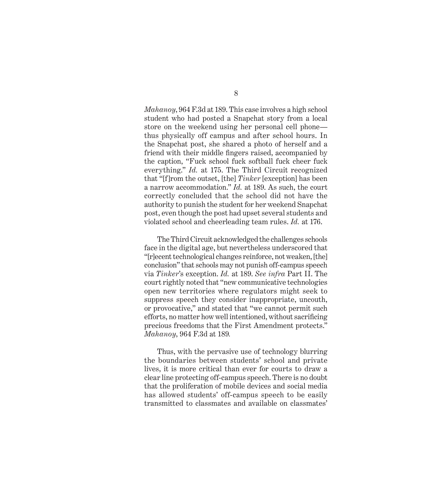*Mahanoy*, 964 F.3d at 189. This case involves a high school student who had posted a Snapchat story from a local store on the weekend using her personal cell phone thus physically off campus and after school hours. In the Snapchat post, she shared a photo of herself and a friend with their middle fingers raised, accompanied by the caption, "Fuck school fuck softball fuck cheer fuck everything." *Id.* at 175. The Third Circuit recognized that "[f]rom the outset, [the] *Tinker* [exception] has been a narrow accommodation." *Id.* at 189. As such, the court correctly concluded that the school did not have the authority to punish the student for her weekend Snapchat post, even though the post had upset several students and violated school and cheerleading team rules. *Id.* at 176.

The Third Circuit acknowledged the challenges schools face in the digital age, but nevertheless underscored that "[r]ecent technological changes reinforce, not weaken, [the] conclusion" that schools may not punish off-campus speech via *Tinker*'s exception. *Id.* at 189. *See infra* Part II. The court rightly noted that "new communicative technologies open new territories where regulators might seek to suppress speech they consider inappropriate, uncouth, or provocative," and stated that "we cannot permit such efforts, no matter how well intentioned, without sacrificing precious freedoms that the First Amendment protects." *Mahanoy*, 964 F.3d at 189*.*

Thus, with the pervasive use of technology blurring the boundaries between students' school and private lives, it is more critical than ever for courts to draw a clear line protecting off-campus speech. There is no doubt that the proliferation of mobile devices and social media has allowed students' off-campus speech to be easily transmitted to classmates and available on classmates'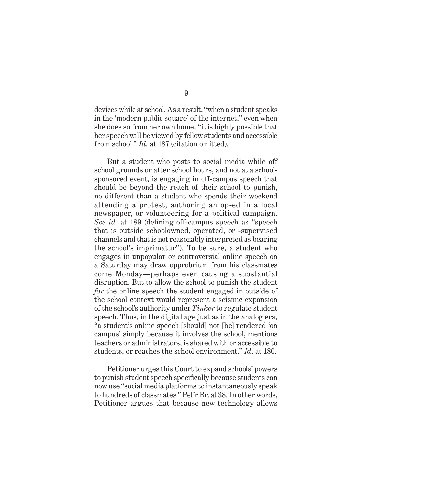devices while at school. As a result, "when a student speaks in the 'modern public square' of the internet," even when she does so from her own home, "it is highly possible that her speech will be viewed by fellow students and accessible from school." *Id.* at 187 (citation omitted).

But a student who posts to social media while off school grounds or after school hours, and not at a schoolsponsored event, is engaging in off-campus speech that should be beyond the reach of their school to punish, no different than a student who spends their weekend attending a protest, authoring an op-ed in a local newspaper, or volunteering for a political campaign. *See id.* at 189 (defining off-campus speech as "speech that is outside schoolowned, operated, or -supervised channels and that is not reasonably interpreted as bearing the school's imprimatur"). To be sure, a student who engages in unpopular or controversial online speech on a Saturday may draw opprobrium from his classmates come Monday—perhaps even causing a substantial disruption. But to allow the school to punish the student *for* the online speech the student engaged in outside of the school context would represent a seismic expansion of the school's authority under *Tinker* to regulate student speech. Thus, in the digital age just as in the analog era, "a student's online speech [should] not [be] rendered 'on campus' simply because it involves the school, mentions teachers or administrators, is shared with or accessible to students, or reaches the school environment." *Id*. at 180.

Petitioner urges this Court to expand schools' powers to punish student speech specifically because students can now use "social media platforms to instantaneously speak to hundreds of classmates." Pet'r Br. at 38. In other words, Petitioner argues that because new technology allows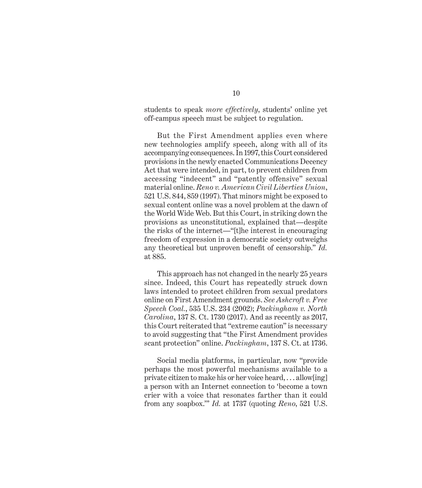students to speak *more effectively*, students' online yet off-campus speech must be subject to regulation.

But the First Amendment applies even where new technologies amplify speech, along with all of its accompanying consequences. In 1997, this Court considered provisions in the newly enacted Communications Decency Act that were intended, in part, to prevent children from accessing "indecent" and "patently offensive" sexual material online. *Reno v. American Civil Liberties Union*, 521 U.S. 844, 859 (1997). That minors might be exposed to sexual content online was a novel problem at the dawn of the World Wide Web. But this Court, in striking down the provisions as unconstitutional, explained that—despite the risks of the internet—"[t]he interest in encouraging freedom of expression in a democratic society outweighs any theoretical but unproven benefit of censorship." *Id.*  at 885.

This approach has not changed in the nearly 25 years since. Indeed, this Court has repeatedly struck down laws intended to protect children from sexual predators online on First Amendment grounds. *See Ashcroft v. Free Speech Coal.*, 535 U.S. 234 (2002); *Packingham v. North Carolina*, 137 S. Ct. 1730 (2017). And as recently as 2017, this Court reiterated that "extreme caution" is necessary to avoid suggesting that "the First Amendment provides scant protection" online. *Packingham*, 137 S. Ct. at 1736.

Social media platforms, in particular, now "provide perhaps the most powerful mechanisms available to a private citizen to make his or her voice heard, . . . allow[ing] a person with an Internet connection to 'become a town crier with a voice that resonates farther than it could from any soapbox.'" *Id.* at 1737 (quoting *Reno*, 521 U.S.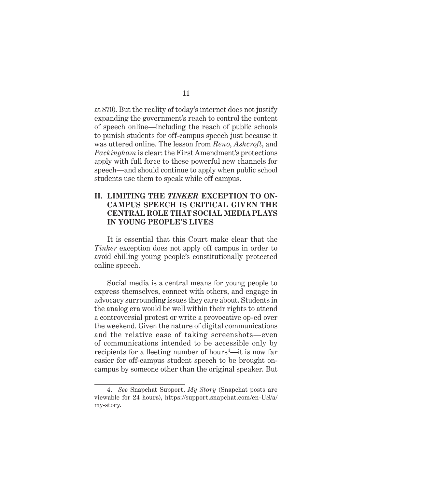at 870). But the reality of today's internet does not justify expanding the government's reach to control the content of speech online—including the reach of public schools to punish students for off-campus speech just because it was uttered online. The lesson from *Reno*, *Ashcroft*, and *Packingham* is clear: the First Amendment's protections apply with full force to these powerful new channels for speech—and should continue to apply when public school students use them to speak while off campus.

#### **II. LIMITING THE** *TINKER* **EXCEPTION TO ON-CAMPUS SPEECH IS CRITICAL GIVEN THE CENTRAL ROLE THAT SOCIAL MEDIA PLAYS IN YOUNG PEOPLE'S LIVES**

It is essential that this Court make clear that the *Tinker* exception does not apply off campus in order to avoid chilling young people's constitutionally protected online speech.

Social media is a central means for young people to express themselves, connect with others, and engage in advocacy surrounding issues they care about. Students in the analog era would be well within their rights to attend a controversial protest or write a provocative op-ed over the weekend. Given the nature of digital communications and the relative ease of taking screenshots—even of communications intended to be accessible only by recipients for a fleeting number of hours<sup>4</sup>—it is now far easier for off-campus student speech to be brought oncampus by someone other than the original speaker. But

<sup>4.</sup> *See* Snapchat Support, *My Story* (Snapchat posts are viewable for 24 hours), https://support.snapchat.com/en-US/a/ my-story.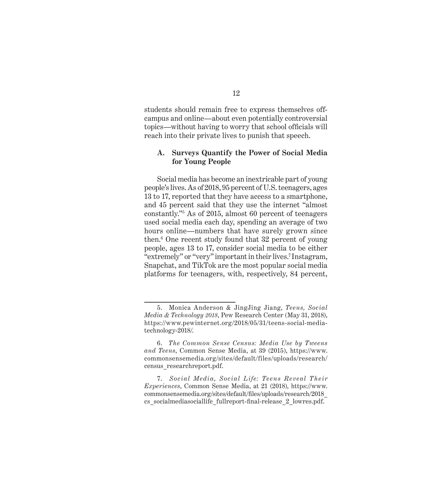students should remain free to express themselves offcampus and online—about even potentially controversial topics—without having to worry that school officials will reach into their private lives to punish that speech.

#### **A. Surveys Quantify the Power of Social Media for Young People**

Social media has become an inextricable part of young people's lives. As of 2018, 95 percent of U.S. teenagers, ages 13 to 17, reported that they have access to a smartphone, and 45 percent said that they use the internet "almost constantly."5 As of 2015, almost 60 percent of teenagers used social media each day, spending an average of two hours online—numbers that have surely grown since then.<sup>6</sup> One recent study found that 32 percent of young people, ages 13 to 17, consider social media to be either "extremely" or "very" important in their lives.7 Instagram, Snapchat, and TikTok are the most popular social media platforms for teenagers, with, respectively, 84 percent,

<sup>5.</sup> Monica Anderson & JingJing Jiang, *Teens, Social Media & Technology 2018*, Pew Research Center (May 31, 2018), https://www.pewinternet.org/2018/05/31/teens-social-mediatechnology-2018/.

<sup>6.</sup> *The Common Sense Census: Media Use by Tweens and Teens*, Common Sense Media, at 39 (2015), https://www. commonsensemedia.org/sites/default/files/uploads/research/ census\_researchreport.pdf.

<sup>7.</sup> *Social Media , Social Life: Teens Reveal Their Experiences*, Common Sense Media, at 21 (2018), https://www. commonsensemedia.org/sites/default/files/uploads/research/2018\_ cs\_socialmediasociallife\_fullreport-final-release\_2\_lowres.pdf.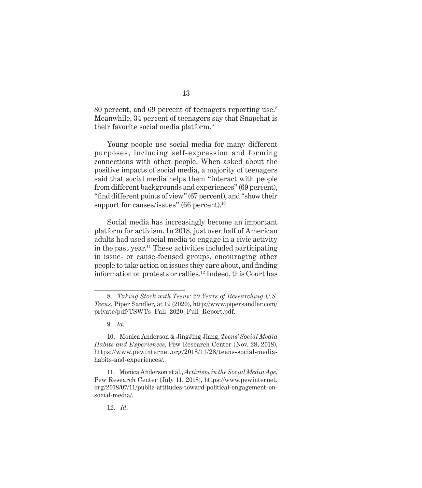80 percent, and 69 percent of teenagers reporting use.<sup>8</sup> Meanwhile, 34 percent of teenagers say that Snapchat is their favorite social media platform.<sup>9</sup>

Young people use social media for many different purposes, including self-expression and forming connections with other people. When asked about the positive impacts of social media, a majority of teenagers said that social media helps them "interact with people from different backgrounds and experiences" (69 percent), "find different points of view" (67 percent), and "show their support for causes/issues" (66 percent). $10$ 

Social media has increasingly become an important platform for activism. In 2018, just over half of American adults had used social media to engage in a civic activity in the past year.11 These activities included participating in issue- or cause-focused groups, encouraging other people to take action on issues they care about, and finding information on protests or rallies.12 Indeed, this Court has

<sup>8.</sup> *Taking Stock with Teens: 20 Years of Researching U.S. Teens*, Piper Sandler, at 19 (2020), http://www.pipersandler.com/ private/pdf/TSWTs\_Fall\_2020\_Full\_Report.pdf.

<sup>9.</sup> *Id*.

<sup>10.</sup> Monica Anderson & JingJing Jiang, *Teens' Social Media Habits and Experiences*, Pew Research Center (Nov. 28, 2018), https://www.pewinternet.org/2018/11/28/teens-social-mediahabits-and-experiences/.

<sup>11.</sup> Monica Anderson et al., *Activism in the Social Media Age*, Pew Research Center (July 11, 2018), https://www.pewinternet. org/2018/07/11/public-attitudes-toward-political-engagement-onsocial-media/.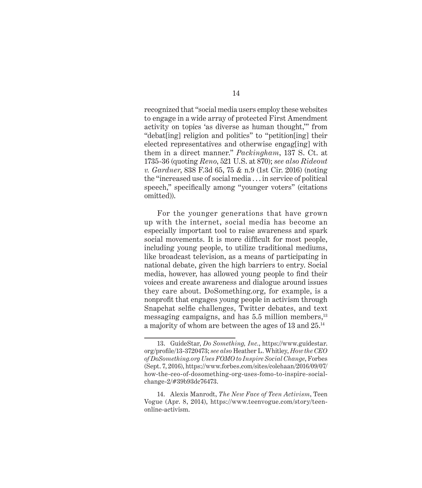recognized that "social media users employ these websites to engage in a wide array of protected First Amendment activity on topics 'as diverse as human thought,'" from "debat[ing] religion and politics" to "petition[ing] their elected representatives and otherwise engag[ing] with them in a direct manner." *Packingham*, 137 S. Ct. at 1735-36 (quoting *Reno*, 521 U.S. at 870); *see also Rideout v. Gardner*, 838 F.3d 65, 75 & n.9 (1st Cir. 2016) (noting the "increased use of social media . . . in service of political speech," specifically among "younger voters" (citations omitted)).

For the younger generations that have grown up with the internet, social media has become an especially important tool to raise awareness and spark social movements. It is more difficult for most people, including young people, to utilize traditional mediums, like broadcast television, as a means of participating in national debate, given the high barriers to entry. Social media, however, has allowed young people to find their voices and create awareness and dialogue around issues they care about. DoSomething.org, for example, is a nonprofit that engages young people in activism through Snapchat selfie challenges, Twitter debates, and text messaging campaigns, and has 5.5 million members,<sup>13</sup> a majority of whom are between the ages of 13 and 25.14

<sup>13.</sup> GuideStar, *Do Something, Inc.*, https://www.guidestar. org/profile/13-3720473; *see also* Heather L. Whitley, *How the CEO of DoSomething.org Uses FOMO to Inspire Social Change*, Forbes (Sept. 7, 2016), https://www.forbes.com/sites/colehaan/2016/09/07/ how-the-ceo-of-dosomething-org-uses-fomo-to-inspire-socialchange-2/#39b93dc76473.

<sup>14.</sup> Alexis Manrodt, *The New Face of Teen Activism*, Teen Vogue (Apr. 8, 2014), https://www.teenvogue.com/story/teenonline-activism.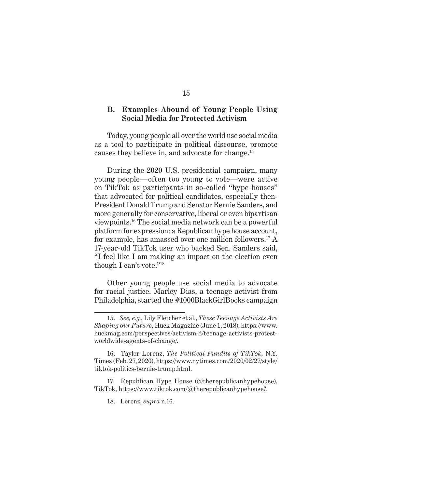#### **B. Examples Abound of Young People Using Social Media for Protected Activism**

Today, young people all over the world use social media as a tool to participate in political discourse, promote causes they believe in, and advocate for change.15

During the 2020 U.S. presidential campaign, many young people—often too young to vote—were active on TikTok as participants in so-called "hype houses" that advocated for political candidates, especially then-President Donald Trump and Senator Bernie Sanders, and more generally for conservative, liberal or even bipartisan viewpoints.<sup>16</sup> The social media network can be a powerful platform for expression: a Republican hype house account, for example, has amassed over one million followers.17 A 17-year-old TikTok user who backed Sen. Sanders said, "I feel like I am making an impact on the election even though I can't vote."18

Other young people use social media to advocate for racial justice. Marley Dias, a teenage activist from Philadelphia, started the #1000BlackGirlBooks campaign

<sup>15.</sup> *See, e.g.*, Lily Fletcher et al., *These Teenage Activists Are Shaping our Future*, Huck Magazine (June 1, 2018), https://www. huckmag.com/perspectives/activism-2/teenage-activists-protestworldwide-agents-of-change/.

<sup>16.</sup> Taylor Lorenz, *The Political Pundits of TikTok*, N.Y. Times (Feb. 27, 2020), https://www.nytimes.com/2020/02/27/style/ tiktok-politics-bernie-trump.html.

<sup>17.</sup> Republican Hype House (@therepublicanhypehouse), TikTok, https://www.tiktok.com/@therepublicanhypehouse?.

<sup>18.</sup> Lorenz, *supra* n.16.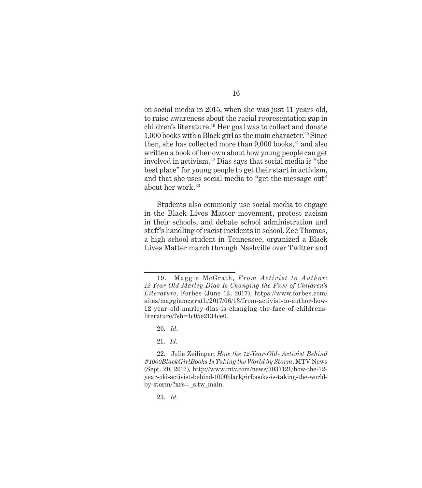on social media in 2015, when she was just 11 years old, to raise awareness about the racial representation gap in children's literature.19 Her goal was to collect and donate  $1,000$  books with a Black girl as the main character.<sup>20</sup> Since then, she has collected more than  $9,000$  books, $21$  and also written a book of her own about how young people can get involved in activism.22 Dias says that social media is "the best place" for young people to get their start in activism, and that she uses social media to "get the message out" about her work.23

Students also commonly use social media to engage in the Black Lives Matter movement, protest racism in their schools, and debate school administration and staff's handling of racist incidents in school. Zee Thomas, a high school student in Tennessee, organized a Black Lives Matter march through Nashville over Twitter and

20. *Id*.

23. *Id.*

<sup>19.</sup> Maggie McGrath, *From Activist to Author: 12-Year-Old Marley Dias Is Changing the Face of Children's Literature*, Forbes (June 13, 2017), https://www.forbes.com/ sites/maggiemcgrath/2017/06/13/from-activist-to-author-how-12-year-old-marley-dias-is-changing-the-face-of-childrensliterature/?sh=1c05e2134ce0.

<sup>21.</sup> *Id*.

<sup>22.</sup> Julie Zeilinger, *How the 12-Year-Old- Activist Behind #1000BlackGirlBooks Is Taking the World by Storm*, MTV News (Sept. 20, 2017), http://www.mtv.com/news/3037121/how-the-12 year-old-activist-behind-1000blackgirlbooks-is-taking-the-worldby-storm/?xrs= s.tw main.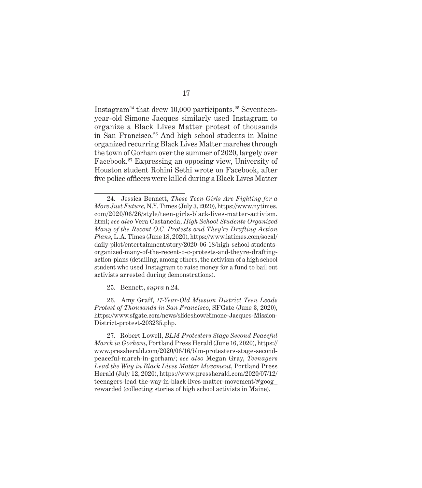Instagram<sup>24</sup> that drew 10,000 participants.<sup>25</sup> Seventeenyear-old Simone Jacques similarly used Instagram to organize a Black Lives Matter protest of thousands in San Francisco.26 And high school students in Maine organized recurring Black Lives Matter marches through the town of Gorham over the summer of 2020, largely over Facebook.27 Expressing an opposing view, University of Houston student Rohini Sethi wrote on Facebook, after five police officers were killed during a Black Lives Matter

25. Bennett, *supra* n.24.

26. Amy Graff, *17-Year-Old Mission District Teen Leads Protest of Thousands in San Francisco*, SFGate (June 3, 2020), https://www.sfgate.com/news/slideshow/Simone-Jacques-Mission-District-protest-203235.php.

27. Robert Lowell, *BLM Protesters Stage Second Peaceful March in Gorham*, Portland Press Herald (June 16, 2020), https:// www.pressherald.com/2020/06/16/blm-protesters-stage-secondpeaceful-march-in-gorham/; *see also* Megan Gray, *Teenagers Lead the Way in Black Lives Matter Movement*, Portland Press Herald (July 12, 2020), https://www.pressherald.com/2020/07/12/ teenagers-lead-the-way-in-black-lives-matter-movement/#goog\_ rewarded (collecting stories of high school activists in Maine).

<sup>24.</sup> Jessica Bennett, *These Teen Girls Are Fighting for a More Just Future*, N.Y. Times (July 3, 2020), https://www.nytimes. com/2020/06/26/style/teen-girls-black-lives-matter-activism. html; *see also* Vera Castaneda, *High School Students Organized Many of the Recent O.C. Protests and They're Drafting Action Plans*, L.A. Times (June 18, 2020), https://www.latimes.com/socal/ daily-pilot/entertainment/story/2020-06-18/high-school-studentsorganized-many-of-the-recent-o-c-protests-and-theyre-draftingaction-plans (detailing, among others, the activism of a high school student who used Instagram to raise money for a fund to bail out activists arrested during demonstrations).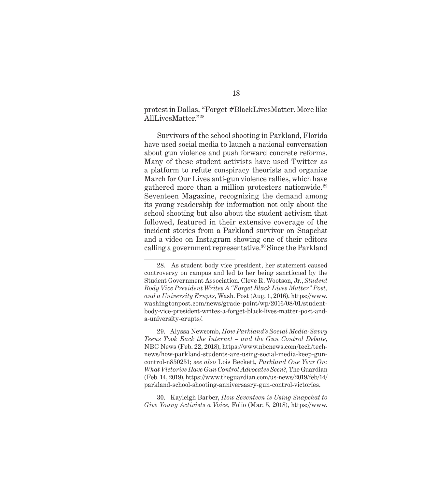#### protest in Dallas, "Forget #BlackLivesMatter. More like AllLivesMatter."28

Survivors of the school shooting in Parkland, Florida have used social media to launch a national conversation about gun violence and push forward concrete reforms. Many of these student activists have used Twitter as a platform to refute conspiracy theorists and organize March for Our Lives anti-gun violence rallies, which have gathered more than a million protesters nationwide.<sup>29</sup> Seventeen Magazine, recognizing the demand among its young readership for information not only about the school shooting but also about the student activism that followed, featured in their extensive coverage of the incident stories from a Parkland survivor on Snapchat and a video on Instagram showing one of their editors calling a government representative.<sup>30</sup> Since the Parkland

30. Kayleigh Barber, *How Seventeen is Using Snapchat to Give Young Activists a Voice*, Folio (Mar. 5, 2018), https://www.

<sup>28.</sup> As student body vice president, her statement caused controversy on campus and led to her being sanctioned by the Student Government Association. Cleve R. Wootson, Jr., *Student Body Vice President Writes A "Forget Black Lives Matter" Post, and a University Erupts*, Wash. Post (Aug. 1, 2016), https://www. washingtonpost.com/news/grade-point/wp/2016/08/01/studentbody-vice-president-writes-a-forget-black-lives-matter-post-anda-university-erupts/.

<sup>29.</sup> Alyssa Newcomb, *How Parkland's Social Media-Savvy Teens Took Back the Internet – and the Gun Control Debate*, NBC News (Feb. 22, 2018), https://www.nbcnews.com/tech/technews/how-parkland-students-are-using-social-media-keep-guncontrol-n850251; *see also* Lois Beckett, *Parkland One Year On: What Victories Have Gun Control Advocates Seen?*, The Guardian (Feb. 14, 2019), https://www.theguardian.com/us-news/2019/feb/14/ parkland-school-shooting-anniversasry-gun-control-victories.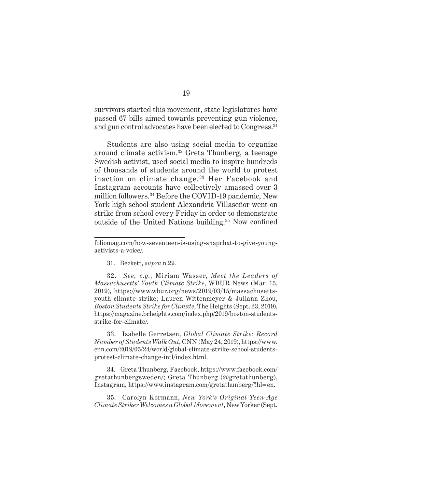survivors started this movement, state legislatures have passed 67 bills aimed towards preventing gun violence, and gun control advocates have been elected to Congress.<sup>31</sup>

Students are also using social media to organize around climate activism.32 Greta Thunberg, a teenage Swedish activist, used social media to inspire hundreds of thousands of students around the world to protest inaction on climate change. 33 Her Facebook and Instagram accounts have collectively amassed over 3 million followers.34 Before the COVID-19 pandemic, New York high school student Alexandria Villaseñor went on strike from school every Friday in order to demonstrate outside of the United Nations building.<sup>35</sup> Now confined

31. Beckett, *supra* n.29.

33. Isabelle Gerretsen, *Global Climate Strike: Record Number of Students Walk Out*, CNN (May 24, 2019), https://www. cnn.com/2019/05/24/world/global-climate-strike-school-studentsprotest-climate-change-intl/index.html.

34. Greta Thunberg, Facebook, https://www.facebook.com/ gretathunbergsweden/; Greta Thunberg (@gretathunberg), Instagram, https://www.instagram.com/gretathunberg/?hl=en.

35. Carolyn Kormann, *New York's Original Teen-Age Climate Striker Welcomes a Global Movement*, New Yorker (Sept.

foliomag.com/how-seventeen-is-using-snapchat-to-give-youngactivists-a-voice/.

<sup>32.</sup> *See, e.g.*, Miriam Wasser, *Meet the Leaders of Massachusetts' Youth Climate Strike*, WBUR News (Mar. 15, 2019), https://www.wbur.org/news/2019/03/15/massachusettsyouth-climate-strike; Lauren Wittenmeyer & Juliann Zhou, *Boston Students Strike for Climate*, The Heights (Sept. 23, 2019), https://magazine.bcheights.com/index.php/2019/boston-studentsstrike-for-climate/.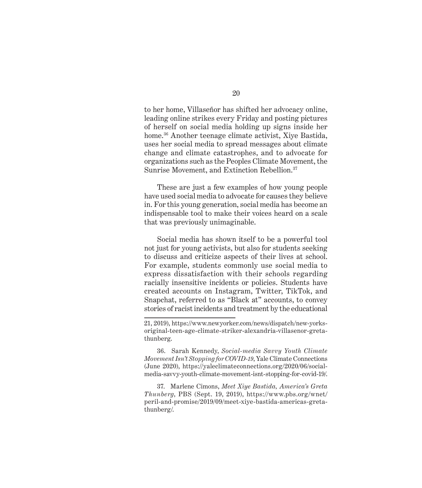to her home, Villaseñor has shifted her advocacy online, leading online strikes every Friday and posting pictures of herself on social media holding up signs inside her home.36 Another teenage climate activist, Xiye Bastida, uses her social media to spread messages about climate change and climate catastrophes, and to advocate for organizations such as the Peoples Climate Movement, the Sunrise Movement, and Extinction Rebellion.37

These are just a few examples of how young people have used social media to advocate for causes they believe in. For this young generation, social media has become an indispensable tool to make their voices heard on a scale that was previously unimaginable.

Social media has shown itself to be a powerful tool not just for young activists, but also for students seeking to discuss and criticize aspects of their lives at school. For example, students commonly use social media to express dissatisfaction with their schools regarding racially insensitive incidents or policies. Students have created accounts on Instagram, Twitter, TikTok, and Snapchat, referred to as "Black at" accounts, to convey stories of racist incidents and treatment by the educational

36. Sarah Kennedy, *Social-media Savvy Youth Climate Movement Isn't Stopping for COVID-19*, Yale Climate Connections (June 2020), https://yaleclimateconnections.org/2020/06/socialmedia-savvy-youth-climate-movement-isnt-stopping-for-covid-19/.

37. Marlene Cimons, *Meet Xiye Bastida, America's Greta Thunberg*, PBS (Sept. 19, 2019), https://www.pbs.org/wnet/ peril-and-promise/2019/09/meet-xiye-bastida-americas-gretathunberg/.

<sup>21, 2019),</sup> https://www.newyorker.com/news/dispatch/new-yorksoriginal-teen-age-climate-striker-alexandria-villasenor-gretathunberg.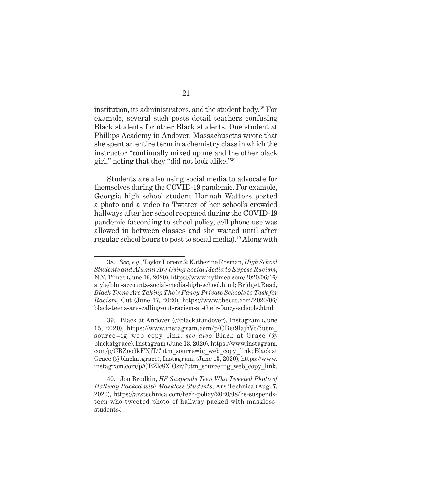institution, its administrators, and the student body.38 For example, several such posts detail teachers confusing Black students for other Black students. One student at Phillips Academy in Andover, Massachusetts wrote that she spent an entire term in a chemistry class in which the instructor "continually mixed up me and the other black girl," noting that they "did not look alike."<sup>39</sup>

Students are also using social media to advocate for themselves during the COVID-19 pandemic. For example, Georgia high school student Hannah Watters posted a photo and a video to Twitter of her school's crowded hallways after her school reopened during the COVID-19 pandemic (according to school policy, cell phone use was allowed in between classes and she waited until after regular school hours to post to social media).<sup>40</sup> Along with

<sup>38.</sup> *See, e.g.*,Taylor Lorenz & Katherine Rosman, *High School Students and Alumni Are Using Social Media to Expose Racism*, N.Y. Times (June 16, 2020), https://www.nytimes.com/2020/06/16/ style/blm-accounts-social-media-high-school.html; Bridget Read, *Black Teens Are Taking Their Fancy Private Schools to Task for Racism*, Cut (June 17, 2020), https://www.thecut.com/2020/06/ black-teens-are-calling-out-racism-at-their-fancy-schools.html.

<sup>39.</sup> Black at Andover (@blackatandover), Instagram (June 15, 2020), https://www.instagram.com/p/CBei9lajhVt/?utm\_ source=ig\_web\_copy\_link; *see also* Black at Grace (@ blackatgrace), Instagram (June 13, 2020), https://www.instagram. com/p/CBZoo9kFNjT/?utm\_source=ig\_web\_copy\_link; Black at Grace (@blackatgrace), Instagram, (June 13, 2020), https://www. instagram.com/p/CBZlc8XlOsz/?utm\_source=ig\_web\_copy\_link.

<sup>40.</sup> Jon Brodkin, *HS Suspends Teen Who Tweeted Photo of Hallway Packed with Maskless Students*, Ars Technica (Aug. 7, 2020), https://arstechnica.com/tech-policy/2020/08/hs-suspendsteen-who-tweeted-photo-of-hallway-packed-with-masklessstudents/.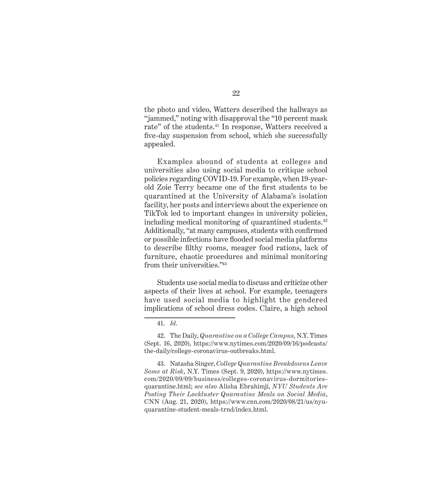the photo and video, Watters described the hallways as "jammed," noting with disapproval the "10 percent mask rate" of the students.<sup>41</sup> In response, Watters received a five-day suspension from school, which she successfully appealed.

Examples abound of students at colleges and universities also using social media to critique school policies regarding COVID-19. For example, when 19-yearold Zoie Terry became one of the first students to be quarantined at the University of Alabama's isolation facility, her posts and interviews about the experience on TikTok led to important changes in university policies, including medical monitoring of quarantined students.<sup>42</sup> Additionally, "at many campuses, students with confirmed or possible infections have flooded social media platforms to describe filthy rooms, meager food rations, lack of furniture, chaotic procedures and minimal monitoring from their universities."43

Students use social media to discuss and criticize other aspects of their lives at school. For example, teenagers have used social media to highlight the gendered implications of school dress codes. Claire, a high school

<sup>41.</sup> *Id*.

<sup>42.</sup> The Daily, *Quarantine on a College Campus*, N.Y. Times (Sept. 16, 2020), https://www.nytimes.com/2020/09/16/podcasts/ the-daily/college-coronavirus-outbreaks.html.

<sup>43.</sup> Natasha Singer, *College Quarantine Breakdowns Leave Some at Risk*, N.Y. Times (Sept. 9, 2020), https://www.nytimes. com/2020/09/09/business/colleges-coronavirus-dormitoriesquarantine.html; *see also* Alisha Ebrahimji, *NYU Students Are Posting Their Lackluster Quarantine Meals on Social Media*, CNN (Aug. 21, 2020), https://www.cnn.com/2020/08/21/us/nyuquarantine-student-meals-trnd/index.html.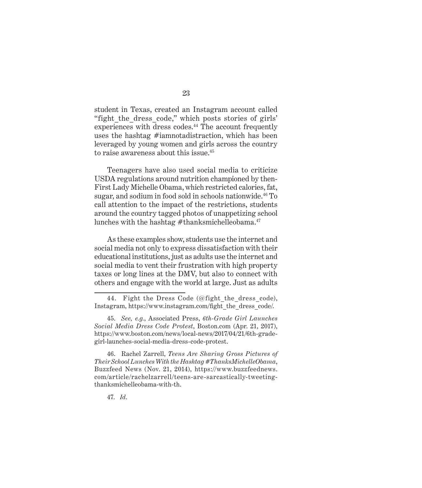student in Texas, created an Instagram account called "fight the dress code," which posts stories of girls' experiences with dress codes.<sup>44</sup> The account frequently uses the hashtag #iamnotadistraction, which has been leveraged by young women and girls across the country to raise awareness about this issue.<sup>45</sup>

Teenagers have also used social media to criticize USDA regulations around nutrition championed by then-First Lady Michelle Obama, which restricted calories, fat, sugar, and sodium in food sold in schools nationwide.<sup>46</sup> To call attention to the impact of the restrictions, students around the country tagged photos of unappetizing school lunches with the hashtag  $#$ thanksmichelleobama. $47$ 

As these examples show, students use the internet and social media not only to express dissatisfaction with their educational institutions, just as adults use the internet and social media to vent their frustration with high property taxes or long lines at the DMV, but also to connect with others and engage with the world at large. Just as adults

46. Rachel Zarrell, *Teens Are Sharing Gross Pictures of Their School Lunches With the Hashtag #ThanksMichelleObama*, Buzzfeed News (Nov. 21, 2014), https://www.buzzfeednews. com/article/rachelzarrell/teens-are-sarcastically-tweetingthanksmichelleobama-with-th.

47. *Id*.

<sup>44.</sup> Fight the Dress Code (@fight the dress code), Instagram, https://www.instagram.com/fight\_the\_dress\_code/.

<sup>45.</sup> *See, e.g.*, Associated Press, *6th-Grade Girl Launches Social Media Dress Code Protest*, Boston.com (Apr. 21, 2017), https://www.boston.com/news/local-news/2017/04/21/6th-gradegirl-launches-social-media-dress-code-protest.